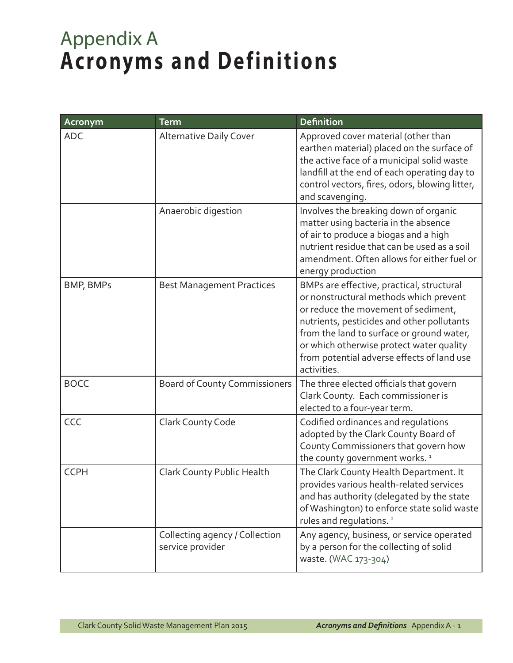## Appendix A **Acronyms and Definitions**

| Acronym     | <b>Term</b>                                        | <b>Definition</b>                                                                                                                                                                                                                                                                                                              |
|-------------|----------------------------------------------------|--------------------------------------------------------------------------------------------------------------------------------------------------------------------------------------------------------------------------------------------------------------------------------------------------------------------------------|
| <b>ADC</b>  | <b>Alternative Daily Cover</b>                     | Approved cover material (other than<br>earthen material) placed on the surface of<br>the active face of a municipal solid waste<br>landfill at the end of each operating day to<br>control vectors, fires, odors, blowing litter,<br>and scavenging.                                                                           |
|             | Anaerobic digestion                                | Involves the breaking down of organic<br>matter using bacteria in the absence<br>of air to produce a biogas and a high<br>nutrient residue that can be used as a soil<br>amendment. Often allows for either fuel or<br>energy production                                                                                       |
| BMP, BMPs   | <b>Best Management Practices</b>                   | BMPs are effective, practical, structural<br>or nonstructural methods which prevent<br>or reduce the movement of sediment,<br>nutrients, pesticides and other pollutants<br>from the land to surface or ground water,<br>or which otherwise protect water quality<br>from potential adverse effects of land use<br>activities. |
| <b>BOCC</b> | <b>Board of County Commissioners</b>               | The three elected officials that govern<br>Clark County. Each commissioner is<br>elected to a four-year term.                                                                                                                                                                                                                  |
| CCC         | Clark County Code                                  | Codified ordinances and regulations<br>adopted by the Clark County Board of<br>County Commissioners that govern how<br>the county government works. <sup>1</sup>                                                                                                                                                               |
| <b>CCPH</b> | Clark County Public Health                         | The Clark County Health Department. It<br>provides various health-related services<br>and has authority (delegated by the state<br>of Washington) to enforce state solid waste<br>rules and regulations. <sup>2</sup>                                                                                                          |
|             | Collecting agency / Collection<br>service provider | Any agency, business, or service operated<br>by a person for the collecting of solid<br>waste. (WAC 173-304)                                                                                                                                                                                                                   |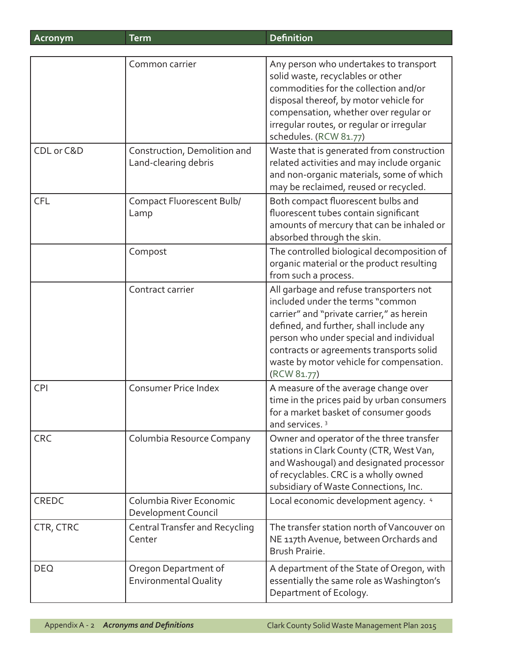| Acronym      | <b>Term</b>                                          | <b>Definition</b>                                                                                                                                                                                                                                                                                                     |
|--------------|------------------------------------------------------|-----------------------------------------------------------------------------------------------------------------------------------------------------------------------------------------------------------------------------------------------------------------------------------------------------------------------|
|              |                                                      |                                                                                                                                                                                                                                                                                                                       |
|              | Common carrier                                       | Any person who undertakes to transport<br>solid waste, recyclables or other<br>commodities for the collection and/or<br>disposal thereof, by motor vehicle for<br>compensation, whether over regular or<br>irregular routes, or regular or irregular<br>schedules. (RCW 81.77)                                        |
| CDL or C&D   | Construction, Demolition and<br>Land-clearing debris | Waste that is generated from construction<br>related activities and may include organic<br>and non-organic materials, some of which<br>may be reclaimed, reused or recycled.                                                                                                                                          |
| <b>CFL</b>   | <b>Compact Fluorescent Bulb/</b><br>Lamp             | Both compact fluorescent bulbs and<br>fluorescent tubes contain significant<br>amounts of mercury that can be inhaled or<br>absorbed through the skin.                                                                                                                                                                |
|              | Compost                                              | The controlled biological decomposition of<br>organic material or the product resulting<br>from such a process.                                                                                                                                                                                                       |
|              | Contract carrier                                     | All garbage and refuse transporters not<br>included under the terms "common<br>carrier" and "private carrier," as herein<br>defined, and further, shall include any<br>person who under special and individual<br>contracts or agreements transports solid<br>waste by motor vehicle for compensation.<br>(RCW 81.77) |
| <b>CPI</b>   | Consumer Price Index                                 | A measure of the average change over<br>time in the prices paid by urban consumers<br>for a market basket of consumer goods<br>and services. <sup>3</sup>                                                                                                                                                             |
| <b>CRC</b>   | Columbia Resource Company                            | Owner and operator of the three transfer<br>stations in Clark County (CTR, West Van,<br>and Washougal) and designated processor<br>of recyclables. CRC is a wholly owned<br>subsidiary of Waste Connections, Inc.                                                                                                     |
| <b>CREDC</b> | Columbia River Economic<br>Development Council       | Local economic development agency. 4                                                                                                                                                                                                                                                                                  |
| CTR, CTRC    | <b>Central Transfer and Recycling</b><br>Center      | The transfer station north of Vancouver on<br>NE 117th Avenue, between Orchards and<br>Brush Prairie.                                                                                                                                                                                                                 |
| <b>DEQ</b>   | Oregon Department of<br><b>Environmental Quality</b> | A department of the State of Oregon, with<br>essentially the same role as Washington's<br>Department of Ecology.                                                                                                                                                                                                      |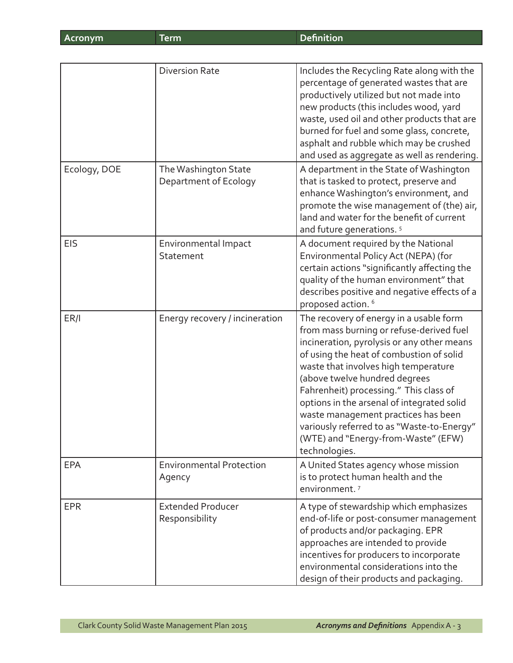|              | <b>Diversion Rate</b>                         | Includes the Recycling Rate along with the<br>percentage of generated wastes that are<br>productively utilized but not made into<br>new products (this includes wood, yard<br>waste, used oil and other products that are<br>burned for fuel and some glass, concrete,<br>asphalt and rubble which may be crushed<br>and used as aggregate as well as rendering.                                                                                                                            |
|--------------|-----------------------------------------------|---------------------------------------------------------------------------------------------------------------------------------------------------------------------------------------------------------------------------------------------------------------------------------------------------------------------------------------------------------------------------------------------------------------------------------------------------------------------------------------------|
| Ecology, DOE | The Washington State<br>Department of Ecology | A department in the State of Washington<br>that is tasked to protect, preserve and<br>enhance Washington's environment, and<br>promote the wise management of (the) air,<br>land and water for the benefit of current<br>and future generations. <sup>5</sup>                                                                                                                                                                                                                               |
| <b>EIS</b>   | Environmental Impact<br>Statement             | A document required by the National<br>Environmental Policy Act (NEPA) (for<br>certain actions "significantly affecting the<br>quality of the human environment" that<br>describes positive and negative effects of a<br>proposed action. <sup>6</sup>                                                                                                                                                                                                                                      |
| ER/I         | Energy recovery / incineration                | The recovery of energy in a usable form<br>from mass burning or refuse-derived fuel<br>incineration, pyrolysis or any other means<br>of using the heat of combustion of solid<br>waste that involves high temperature<br>(above twelve hundred degrees<br>Fahrenheit) processing." This class of<br>options in the arsenal of integrated solid<br>waste management practices has been<br>variously referred to as "Waste-to-Energy"<br>(WTE) and "Energy-from-Waste" (EFW)<br>technologies. |
| <b>EPA</b>   | <b>Environmental Protection</b><br>Agency     | A United States agency whose mission<br>is to protect human health and the<br>environment. <sup>7</sup>                                                                                                                                                                                                                                                                                                                                                                                     |
| <b>EPR</b>   | <b>Extended Producer</b><br>Responsibility    | A type of stewardship which emphasizes<br>end-of-life or post-consumer management<br>of products and/or packaging. EPR<br>approaches are intended to provide<br>incentives for producers to incorporate<br>environmental considerations into the<br>design of their products and packaging.                                                                                                                                                                                                 |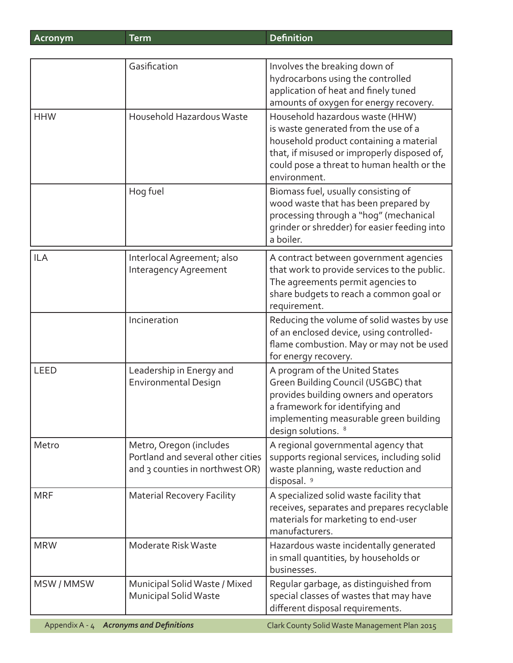| Acronym        | <b>Term</b>                                                                                     | <b>Definition</b>                                                                                                                                                                                                               |
|----------------|-------------------------------------------------------------------------------------------------|---------------------------------------------------------------------------------------------------------------------------------------------------------------------------------------------------------------------------------|
|                |                                                                                                 |                                                                                                                                                                                                                                 |
|                | Gasification                                                                                    | Involves the breaking down of<br>hydrocarbons using the controlled<br>application of heat and finely tuned<br>amounts of oxygen for energy recovery.                                                                            |
| <b>HHW</b>     | Household Hazardous Waste                                                                       | Household hazardous waste (HHW)<br>is waste generated from the use of a<br>household product containing a material<br>that, if misused or improperly disposed of,<br>could pose a threat to human health or the<br>environment. |
|                | Hog fuel                                                                                        | Biomass fuel, usually consisting of<br>wood waste that has been prepared by<br>processing through a "hog" (mechanical<br>grinder or shredder) for easier feeding into<br>a boiler.                                              |
| <b>ILA</b>     | Interlocal Agreement; also<br><b>Interagency Agreement</b>                                      | A contract between government agencies<br>that work to provide services to the public.<br>The agreements permit agencies to<br>share budgets to reach a common goal or<br>requirement.                                          |
|                | Incineration                                                                                    | Reducing the volume of solid wastes by use<br>of an enclosed device, using controlled-<br>flame combustion. May or may not be used<br>for energy recovery.                                                                      |
| <b>LEED</b>    | Leadership in Energy and<br><b>Environmental Design</b>                                         | A program of the United States<br>Green Building Council (USGBC) that<br>provides building owners and operators<br>a framework for identifying and<br>implementing measurable green building<br>design solutions. <sup>8</sup>  |
| Metro          | Metro, Oregon (includes<br>Portland and several other cities<br>and 3 counties in northwest OR) | A regional governmental agency that<br>supports regional services, including solid<br>waste planning, waste reduction and<br>disposal. <sup>9</sup>                                                                             |
| <b>MRF</b>     | <b>Material Recovery Facility</b>                                                               | A specialized solid waste facility that<br>receives, separates and prepares recyclable<br>materials for marketing to end-user<br>manufacturers.                                                                                 |
| <b>MRW</b>     | Moderate Risk Waste                                                                             | Hazardous waste incidentally generated<br>in small quantities, by households or<br>businesses.                                                                                                                                  |
| MSW/MMSW       | Municipal Solid Waste / Mixed<br><b>Municipal Solid Waste</b>                                   | Regular garbage, as distinguished from<br>special classes of wastes that may have<br>different disposal requirements.                                                                                                           |
| Appendix A - 4 | <b>Acronyms and Definitions</b>                                                                 | Clark County Solid Waste Management Plan 2015                                                                                                                                                                                   |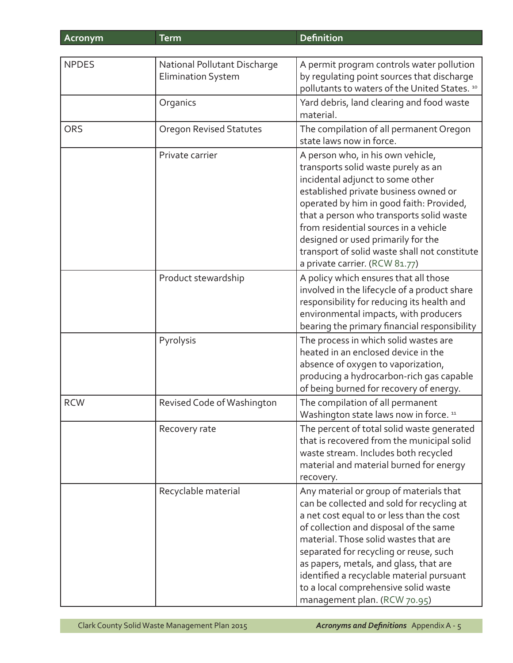| Acronym      | <b>Term</b>                                               | <b>Definition</b>                                                                                                                                                                                                                                                                                                                                                                                                              |
|--------------|-----------------------------------------------------------|--------------------------------------------------------------------------------------------------------------------------------------------------------------------------------------------------------------------------------------------------------------------------------------------------------------------------------------------------------------------------------------------------------------------------------|
|              |                                                           |                                                                                                                                                                                                                                                                                                                                                                                                                                |
| <b>NPDES</b> | National Pollutant Discharge<br><b>Elimination System</b> | A permit program controls water pollution<br>by regulating point sources that discharge<br>pollutants to waters of the United States. 10                                                                                                                                                                                                                                                                                       |
|              | Organics                                                  | Yard debris, land clearing and food waste<br>material.                                                                                                                                                                                                                                                                                                                                                                         |
| <b>ORS</b>   | <b>Oregon Revised Statutes</b>                            | The compilation of all permanent Oregon<br>state laws now in force.                                                                                                                                                                                                                                                                                                                                                            |
|              | Private carrier                                           | A person who, in his own vehicle,<br>transports solid waste purely as an<br>incidental adjunct to some other<br>established private business owned or<br>operated by him in good faith: Provided,<br>that a person who transports solid waste<br>from residential sources in a vehicle<br>designed or used primarily for the<br>transport of solid waste shall not constitute<br>a private carrier. (RCW 81.77)                |
|              | Product stewardship                                       | A policy which ensures that all those<br>involved in the lifecycle of a product share<br>responsibility for reducing its health and<br>environmental impacts, with producers<br>bearing the primary financial responsibility                                                                                                                                                                                                   |
|              | Pyrolysis                                                 | The process in which solid wastes are<br>heated in an enclosed device in the<br>absence of oxygen to vaporization,<br>producing a hydrocarbon-rich gas capable<br>of being burned for recovery of energy.                                                                                                                                                                                                                      |
| <b>RCW</b>   | Revised Code of Washington                                | The compilation of all permanent<br>Washington state laws now in force. 11                                                                                                                                                                                                                                                                                                                                                     |
|              | Recovery rate                                             | The percent of total solid waste generated<br>that is recovered from the municipal solid<br>waste stream. Includes both recycled<br>material and material burned for energy<br>recovery.                                                                                                                                                                                                                                       |
|              | Recyclable material                                       | Any material or group of materials that<br>can be collected and sold for recycling at<br>a net cost equal to or less than the cost<br>of collection and disposal of the same<br>material. Those solid wastes that are<br>separated for recycling or reuse, such<br>as papers, metals, and glass, that are<br>identified a recyclable material pursuant<br>to a local comprehensive solid waste<br>management plan. (RCW 70.95) |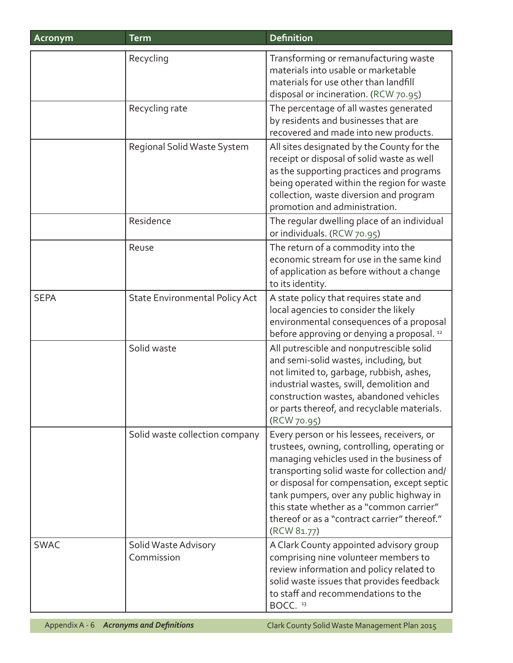| Acronym     | <b>Term</b>                           | <b>Definition</b>                                                                                                                                                                                                                                                                                                                                                                            |
|-------------|---------------------------------------|----------------------------------------------------------------------------------------------------------------------------------------------------------------------------------------------------------------------------------------------------------------------------------------------------------------------------------------------------------------------------------------------|
|             | Recycling                             | Transforming or remanufacturing waste<br>materials into usable or marketable<br>materials for use other than landfill<br>disposal or incineration. (RCW 70.95)                                                                                                                                                                                                                               |
|             | Recycling rate                        | The percentage of all wastes generated<br>by residents and businesses that are<br>recovered and made into new products.                                                                                                                                                                                                                                                                      |
|             | Regional Solid Waste System           | All sites designated by the County for the<br>receipt or disposal of solid waste as well<br>as the supporting practices and programs<br>being operated within the region for waste<br>collection, waste diversion and program<br>promotion and administration.                                                                                                                               |
|             | Residence                             | The regular dwelling place of an individual<br>or individuals. (RCW 70.95)                                                                                                                                                                                                                                                                                                                   |
|             | Reuse                                 | The return of a commodity into the<br>economic stream for use in the same kind<br>of application as before without a change<br>to its identity.                                                                                                                                                                                                                                              |
| <b>SEPA</b> | <b>State Environmental Policy Act</b> | A state policy that requires state and<br>local agencies to consider the likely<br>environmental consequences of a proposal<br>before approving or denying a proposal. <sup>12</sup>                                                                                                                                                                                                         |
|             | Solid waste                           | All putrescible and nonputrescible solid<br>and semi-solid wastes, including, but<br>not limited to, garbage, rubbish, ashes,<br>industrial wastes, swill, demolition and<br>construction wastes, abandoned vehicles<br>or parts thereof, and recyclable materials.<br>(RCW 70.95)                                                                                                           |
|             | Solid waste collection company        | Every person or his lessees, receivers, or<br>trustees, owning, controlling, operating or<br>managing vehicles used in the business of<br>transporting solid waste for collection and/<br>or disposal for compensation, except septic<br>tank pumpers, over any public highway in<br>this state whether as a "common carrier"<br>thereof or as a "contract carrier" thereof."<br>(RCW 81.77) |
| <b>SWAC</b> | Solid Waste Advisory<br>Commission    | A Clark County appointed advisory group<br>comprising nine volunteer members to<br>review information and policy related to<br>solid waste issues that provides feedback<br>to staff and recommendations to the<br>BOCC. <sup>13</sup>                                                                                                                                                       |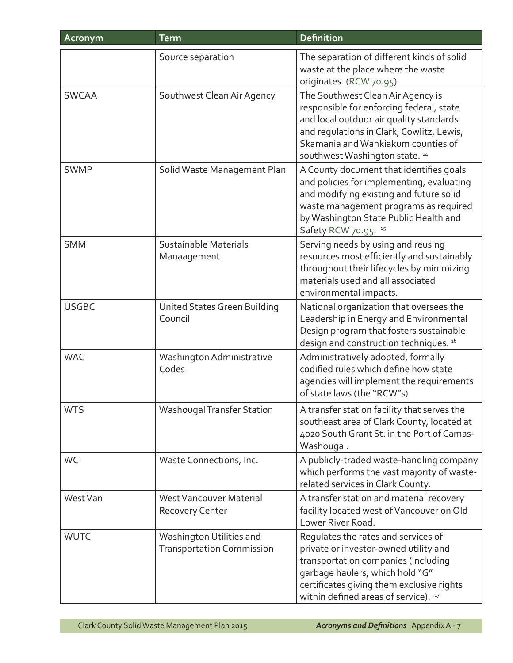| Acronym      | <b>Term</b>                                                  | <b>Definition</b>                                                                                                                                                                                                                                      |
|--------------|--------------------------------------------------------------|--------------------------------------------------------------------------------------------------------------------------------------------------------------------------------------------------------------------------------------------------------|
|              | Source separation                                            | The separation of different kinds of solid<br>waste at the place where the waste<br>originates. (RCW 70.95)                                                                                                                                            |
| <b>SWCAA</b> | Southwest Clean Air Agency                                   | The Southwest Clean Air Agency is<br>responsible for enforcing federal, state<br>and local outdoor air quality standards<br>and regulations in Clark, Cowlitz, Lewis,<br>Skamania and Wahkiakum counties of<br>southwest Washington state. 14          |
| <b>SWMP</b>  | Solid Waste Management Plan                                  | A County document that identifies goals<br>and policies for implementing, evaluating<br>and modifying existing and future solid<br>waste management programs as required<br>by Washington State Public Health and<br>Safety RCW 70.95. <sup>15</sup>   |
| <b>SMM</b>   | Sustainable Materials<br>Manaagement                         | Serving needs by using and reusing<br>resources most efficiently and sustainably<br>throughout their lifecycles by minimizing<br>materials used and all associated<br>environmental impacts.                                                           |
| <b>USGBC</b> | United States Green Building<br>Council                      | National organization that oversees the<br>Leadership in Energy and Environmental<br>Design program that fosters sustainable<br>design and construction techniques. 16                                                                                 |
| <b>WAC</b>   | Washington Administrative<br>Codes                           | Administratively adopted, formally<br>codified rules which define how state<br>agencies will implement the requirements<br>of state laws (the "RCW"s)                                                                                                  |
| <b>WTS</b>   | Washougal Transfer Station                                   | A transfer station facility that serves the<br>southeast area of Clark County, located at<br>4020 South Grant St. in the Port of Camas-<br>Washougal.                                                                                                  |
| <b>WCI</b>   | Waste Connections, Inc.                                      | A publicly-traded waste-handling company<br>which performs the vast majority of waste-<br>related services in Clark County.                                                                                                                            |
| West Van     | <b>West Vancouver Material</b><br><b>Recovery Center</b>     | A transfer station and material recovery<br>facility located west of Vancouver on Old<br>Lower River Road.                                                                                                                                             |
| <b>WUTC</b>  | Washington Utilities and<br><b>Transportation Commission</b> | Regulates the rates and services of<br>private or investor-owned utility and<br>transportation companies (including<br>garbage haulers, which hold "G"<br>certificates giving them exclusive rights<br>within defined areas of service). <sup>17</sup> |